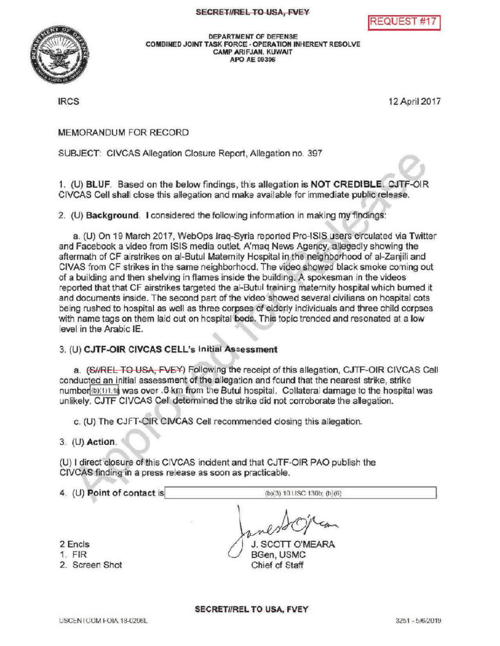

DEPARTMENT OF DEFENSE<br>COMBINED JOINT TASK FORCE - OPERATION INHERENT RESOLVE<br>CAMP ARIFJAN, KUWAIT CAMPARIFJAN, KUWAIT APO AE 09306

IRCS 12April 2017

**FOUEST #1** 

MEMORANDUM FOR RECORD

SUBJECT: CIVCAS Allegation Closure Report, Allegation no. 397

1. (U) BLUF. Based on the below findings, this allegation is NOT CREDIBLE. CJTF -OIR CIVCAS Cell shall close this allegation and make available for immediate publicrelease.

2. (U) Background. I considered the following information in making my findings :

a. (U) On 19 March 2017, WebOps Iraq-Syria reported Pro-ISIS users circulated via Twitter and Facebook a video from ISIS media outlet, A'maq News Agency, allegedly showing the aftermath of CF airstrikes on al-Butul Maternity Hospital in the neighborhood of al-Zanjili and CIVAS from CF strikes in the same neighborhood. The video showed black smoke coming out of a buildingand then shelvingin flames inside the building. A spokesmanin the videos reported that that CF airstrikes targeted the al-Butul training maternity hospital which burned it and documents inside. The second part of the video showed several civilians on hospital cots being rushed to hospital as well as three corpses of elderly individuals and three child corpses with name tags on them laid out on hospital beds. This topic trended and resonated at a low level in the Arabic IE.

## 3. (U) CJTF-OIR CIVCAS CELL's Initial Assessment

a. (SHREL TO USA, FVEY) Following the receipt of this allegation, CJTF-OIR CIVCAS Cell conducted an initial assessment of the allegation and found that the nearest strike, strike number(b)(1) 1.4 a was over .6 km from the Butul hospital. Collateral damage to the hospital was unlikely . CJTF CIVCAS Cell determined the strike did not corroborate the allegation.

c. (U) The CJFT-CIR CIVCAS Cell recommended closing this allegation.

 $3.$  (U) Action.

(U) I direct closure of this CIVCAS incident and that CJTF-OIR PAO publish the CIVCASfinding in a press release as soon as practicable.

4. (U) Point of contact is (b)(3) 10 USC 130b; (b)(6)

2 Encls

- 1. FIR
- 2. Screen Shot

J. SCOTT O'MEARA BGen, USMC Chief of Staff

SECRET//REL TO USA, FVEY